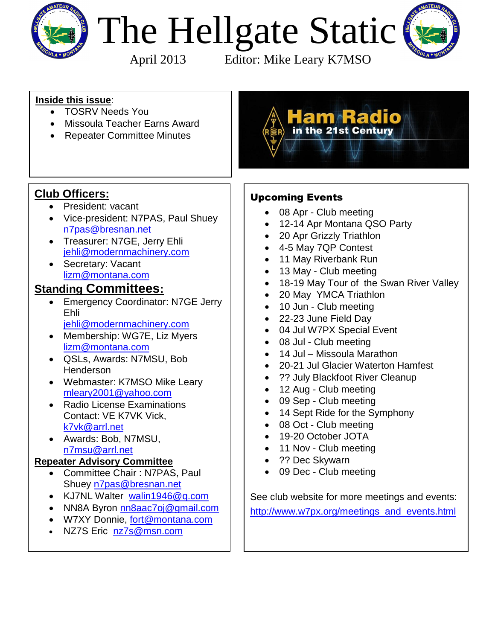

# The Hellgate Static

 $\overline{\phantom{a}}$ 



April 2013 Editor: Mike Leary K7MSO

#### **Inside this issue**:

- TOSRV Needs You
- Missoula Teacher Earns Award
- Repeater Committee Minutes



# **Club Officers:**

- President: vacant
- Vice-president: N7PAS, Paul Shuey [n7pas@bresnan.net](mailto:n7pas@bresnan.net?subject=Hellgate%20Amateur%20Radio%20Club%20Info)
- Treasurer: N7GE, Jerry Ehli [jehli@modernmachinery.com](mailto:jehli@modernmachinery.com?subject=Hellgate%20Amateur%20Radio%20Club%20Info)
- Secretary: Vacant [lizm@montana.com](mailto:lizm@montana.com?subject=Hellgate%20Amateur%20Radio%20Club%20Info)

### **Standing Committees:**

- **Emergency Coordinator: N7GE Jerry** Ehli [jehli@modernmachinery.com](mailto:jehli@modernmachinery.com?subject=Hellgate%20Amateur%20Radio%20Club%20Info)
- Membership: WG7E, Liz Myers [lizm@montana.com](mailto:lizm@montana.com?subject=Hellgate%20Amateur%20Radio%20Club%20Info)
- QSLs, Awards: N7MSU, Bob Henderson
- Webmaster: K7MSO Mike Leary [mleary2001@yahoo.com](mailto:mleary2001@yahoo.com?subject=Hellgate%20Amateur%20Radio%20Club%20Web%20Site%20Info)
- Radio License Examinations Contact: VE K7VK Vick, [k7vk@arrl.net](mailto:k7vk@arrl.net?subject=Hellgate%20Amateur%20Radio%20Club%20License%20Exams)
- Awards: Bob, N7MSU, [n7msu@arrl.net](mailto:n7msu@arrl.net)

#### **Repeater Advisory Committee**

- Committee Chair: N7PAS, Paul Shuey [n7pas@bresnan.net](mailto:n7pas@bresnan.net?subject=Hellgate%20Amateur%20Radio%20Club%20Info)
- KJ7NL Walter [walin1946@q.com](mailto:walin1946@q.com)
- NN8A Byron [nn8aac7oj@gmail.com](mailto:nn8aac7oj@gmail.com?subject=Hellgate%20Amateur%20Radio%20Club%20Repeater%20Info)
- W7XY Donnie, [fort@montana.com](mailto:fort@montana.com)
- NZ7S Eric [nz7s@msn.com](mailto:nz7s@msn.com)

# Upcoming Events

- 08 Apr Club meeting
- 12-14 Apr Montana QSO Party
- 20 Apr Grizzly Triathlon
- 4-5 May 7QP Contest
- 11 May Riverbank Run
- 13 May Club meeting
- 18-19 May Tour of the Swan River Valley
- 20 May YMCA Triathlon
- 10 Jun Club meeting
- 22-23 June Field Day
- 04 Jul W7PX Special Event
- 08 Jul Club meeting
- 14 Jul Missoula Marathon
- 20-21 Jul Glacier Waterton Hamfest
- ?? July Blackfoot River Cleanup
- 12 Aug Club meeting
- 09 Sep Club meeting
- 14 Sept Ride for the Symphony
- 08 Oct Club meeting
- 19-20 October JOTA
- 11 Nov Club meeting
- ?? Dec Skywarn
- 09 Dec Club meeting

See club website for more meetings and events: [http://www.w7px.org/meetings\\_and\\_events.html](http://www.w7px.org/meetings_and_events.html)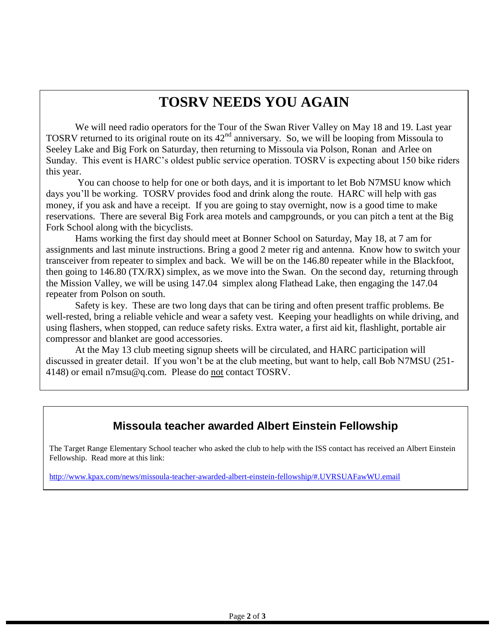# **TOSRV NEEDS YOU AGAIN**

We will need radio operators for the Tour of the Swan River Valley on May 18 and 19. Last year TOSRV returned to its original route on its  $42<sup>nd</sup>$  anniversary. So, we will be looping from Missoula to Seeley Lake and Big Fork on Saturday, then returning to Missoula via Polson, Ronan and Arlee on Sunday. This event is HARC's oldest public service operation. TOSRV is expecting about 150 bike riders this year.

You can choose to help for one or both days, and it is important to let Bob N7MSU know which days you'll be working. TOSRV provides food and drink along the route. HARC will help with gas money, if you ask and have a receipt. If you are going to stay overnight, now is a good time to make reservations. There are several Big Fork area motels and campgrounds, or you can pitch a tent at the Big Fork School along with the bicyclists.

 Hams working the first day should meet at Bonner School on Saturday, May 18, at 7 am for assignments and last minute instructions. Bring a good 2 meter rig and antenna. Know how to switch your transceiver from repeater to simplex and back. We will be on the 146.80 repeater while in the Blackfoot, then going to 146.80 (TX/RX) simplex, as we move into the Swan. On the second day, returning through the Mission Valley, we will be using 147.04 simplex along Flathead Lake, then engaging the 147.04 repeater from Polson on south.

Safety is key. These are two long days that can be tiring and often present traffic problems. Be well-rested, bring a reliable vehicle and wear a safety vest. Keeping your headlights on while driving, and using flashers, when stopped, can reduce safety risks. Extra water, a first aid kit, flashlight, portable air compressor and blanket are good accessories.

At the May 13 club meeting signup sheets will be circulated, and HARC participation will discussed in greater detail. If you won't be at the club meeting, but want to help, call Bob N7MSU (251- 4148) or email n7msu@q.com. Please do not contact TOSRV.

#### **Missoula teacher awarded Albert Einstein Fellowship**

The Target Range Elementary School teacher who asked the club to help with the ISS contact has received an Albert Einstein Fellowship. Read more at this link:

<http://www.kpax.com/news/missoula-teacher-awarded-albert-einstein-fellowship/#.UVRSUAFawWU.email>